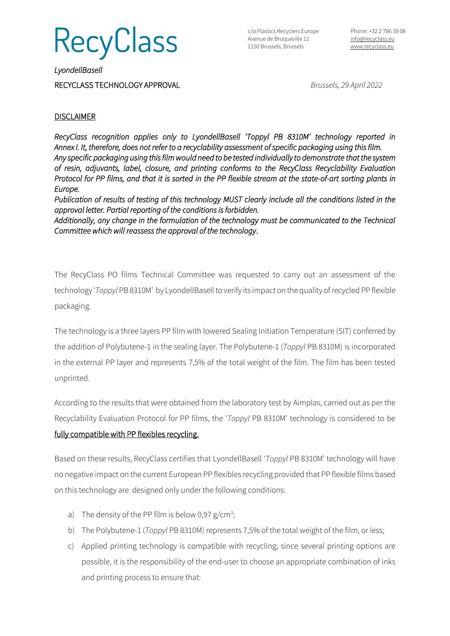

c/o Plastics Recyclers Europe Avenue de Broqueville 12 1150 Brussels, Brussels

*LyondellBasell*  RECYCLASS TECHNOLOGY APPROVAL *Brussels, 29 April 2022*

## **DISCLAIMER**

*RecyClass recognition applies only to LyondellBasell 'Toppyl PB 8310M' technology reported in Annex I. It, therefore, does not refer to a recyclability assessment of specific packaging using this film. Any specific packaging using this film would need to be tested individually to demonstrate that the system of resin, adjuvants, label, closure, and printing conforms to the RecyClass Recyclability Evaluation Protocol for PP films, and that it is sorted in the PP flexible stream at the state-of-art sorting plants in Europe.* 

*Publication of results of testing of this technology MUST clearly include all the conditions listed in the approval letter. Partial reporting of the conditions is forbidden.* 

*Additionally, any change in the formulation of the technology must be communicated to the Technical Committee which will reassess the approval of the technology*.

The RecyClass PO films Technical Committee was requested to carry out an assessment of the technology '*Toppyl* PB8310M' by LyondellBasell to verify its impact on the quality of recycled PP flexible packaging.

The technology is a three layers PP film with lowered Sealing Initiation Temperature (SIT) conferred by the addition of Polybutene-1 in the sealing layer. The Polybutene-1 (*Toppyl* PB 8310M) is incorporated in the external PP layer and represents 7,5% of the total weight of the film. The film has been tested unprinted.

According to the results that were obtained from the laboratory test by Aimplas, carried out as per the Recyclability Evaluation Protocol for PP films, the '*Toppyl* PB 8310M' technology is considered to be fully compatible with PP flexibles recycling.

Based on these results, RecyClass certifies that LyondellBasell '*Toppyl* PB 8310M' technology will have no negative impact on the current European PP flexibles recycling provided that PP flexible films based on this technology are designed only under the following conditions:

- a) The density of the PP film is below 0,97  $g/cm^3$ ;
- b) The Polybutene-1 (*Toppyl* PB 8310M) represents 7,5% of the total weight of the film, or less;
- c) Applied printing technology is compatible with recycling; since several printing options are possible, it is the responsibility of the end-user to choose an appropriate combination of inks and printing process to ensure that: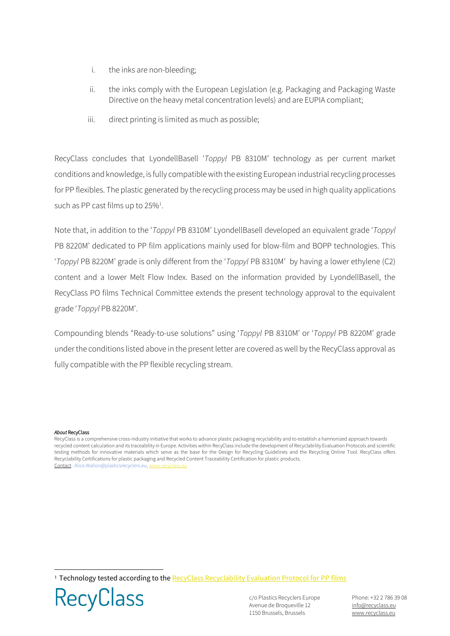- i. the inks are non-bleeding;
- ii. the inks comply with the European Legislation (e.g. Packaging and Packaging Waste Directive on the heavy metal concentration levels) and are EUPIA compliant;
- iii. direct printing is limited as much as possible;

RecyClass concludes that LyondellBasell '*Toppyl* PB 8310M' technology as per current market conditions and knowledge, is fully compatible with the existing European industrial recycling processes for PP flexibles. The plastic generated by the recycling process may be used in high quality applications such as PP cast films up to  $25\%$ <sup>1</sup>.

Note that, in addition to the '*Toppyl* PB 8310M' LyondellBasell developed an equivalent grade '*Toppyl*  PB 8220M' dedicated to PP film applications mainly used for blow-film and BOPP technologies. This '*Toppyl* PB 8220M' grade is only different from the '*Toppyl* PB 8310M' by having a lower ethylene (C2) content and a lower Melt Flow Index. Based on the information provided by LyondellBasell, the RecyClass PO films Technical Committee extends the present technology approval to the equivalent grade '*Toppyl* PB 8220M'.

Compounding blends "Ready-to-use solutions" using '*Toppyl* PB 8310M' or '*Toppyl* PB 8220M' grade under the conditions listed above in the present letter are covered as well by the RecyClass approval as fully compatible with the PP flexible recycling stream.

## *About* RecyClass

RecyClass is a comprehensive cross-industry initiative that works to advance plastic packaging recyclability and to establish a harmonized approach towards recycled content calculation and its traceability in Europe. Activities within RecyClass include the development of Recyclability Evaluation Protocols and scientific testing methods for innovative materials which serve as the base for the Design for Recycling Guidelines and the Recycling Online Tool. RecyClass offers Recyclability Certifications for plastic packaging and Recycled Content Traceability Certification for plastic products. Contact : Alice.Wallon@plasticsrecyclers.eu,

<sup>1</sup> Technology tested according to the Recyclass Recyclability Evaluation Protocol for PP films



c/o Plastics Recyclers Europe Avenue de Broqueville 12 1150 Brussels, Brussels

Phone: +32 2 786 39 08 [info@recyclass.eu](mailto:info@recyclass.eu) [www.recyclass.eu](http://www.recyclass.eu/)